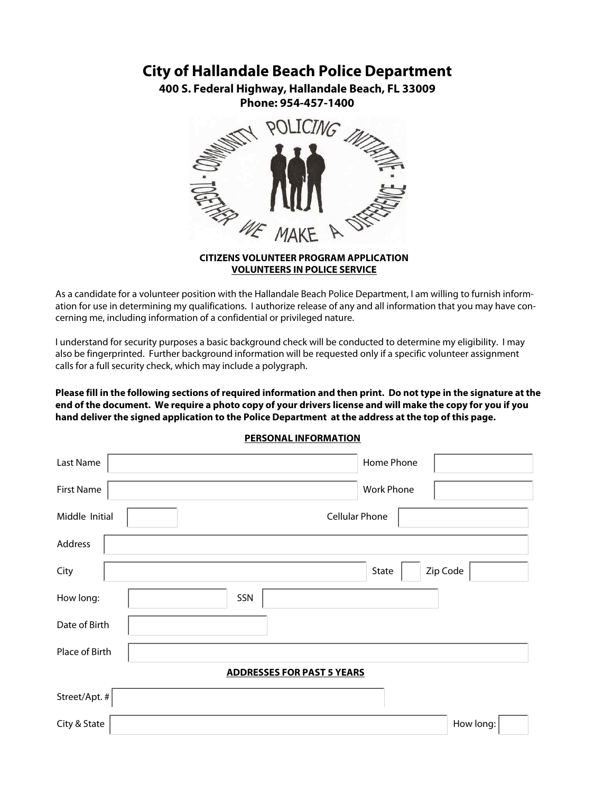## **City of Hallandale Beach Police Department**

**400 S. Federal Highway, Hallandale Beach, FL 33009 Phone: 954-457-1400**



## **CITIZENS VOLUNTEER PROGRAM APPLICATION VOLUNTEERS IN POLICE SERVICE**

As a candidate for a volunteer position with the Hallandale Beach Police Department, I am willing to furnish information for use in determining my qualifications. I authorize release of any and all information that you may have concerning me, including information of a confidential or privileged nature.

I understand for security purposes a basic background check will be conducted to determine my eligibility. I may also be fingerprinted. Further background information will be requested only if a specific volunteer assignment calls for a full security check, which may include a polygraph.

**Please fill in the following sections of required information and then print. Do not type in the signature at the end of the document. We require a photo copy of your drivers license and will make the copy for you if you hand deliver the signed application to the Police Department at the address at the top of this page.**

| <b>Last Name</b>  | Home Phone                        |
|-------------------|-----------------------------------|
| <b>First Name</b> | <b>Work Phone</b>                 |
| Middle Initial    | <b>Cellular Phone</b>             |
| Address           |                                   |
| City              | Zip Code<br>State                 |
| How long:         | SSN                               |
| Date of Birth     |                                   |
| Place of Birth    |                                   |
|                   | <b>ADDRESSES FOR PAST 5 YEARS</b> |
| Street/Apt. #     |                                   |
| City & State      | How long:                         |

## **PERSONAL INFORMATION**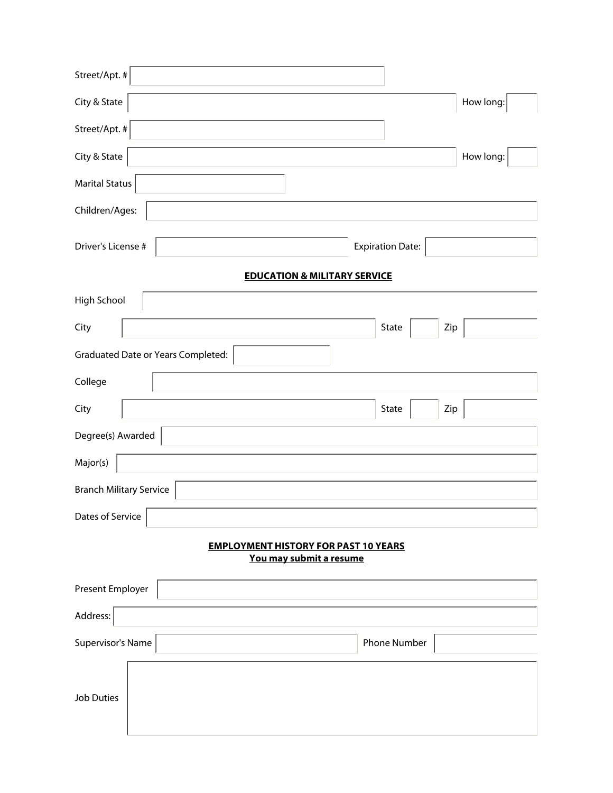| Street/Apt. #                                                          |                         |
|------------------------------------------------------------------------|-------------------------|
| City & State                                                           | How long:               |
| Street/Apt. #                                                          |                         |
| City & State                                                           | How long:               |
| <b>Marital Status</b>                                                  |                         |
| Children/Ages:                                                         |                         |
| Driver's License #                                                     | <b>Expiration Date:</b> |
| <b>EDUCATION &amp; MILITARY SERVICE</b>                                |                         |
| High School                                                            |                         |
| City                                                                   | State<br>Zip            |
| <b>Graduated Date or Years Completed:</b>                              |                         |
| College                                                                |                         |
| City                                                                   | State<br>Zip            |
| Degree(s) Awarded                                                      |                         |
| Major(s)                                                               |                         |
| <b>Branch Military Service</b>                                         |                         |
| Dates of Service                                                       |                         |
| <b>EMPLOYMENT HISTORY FOR PAST 10 YEARS</b><br>You may submit a resume |                         |
| Present Employer                                                       |                         |
| Address:                                                               |                         |
| Supervisor's Name                                                      | Phone Number            |
| <b>Job Duties</b>                                                      |                         |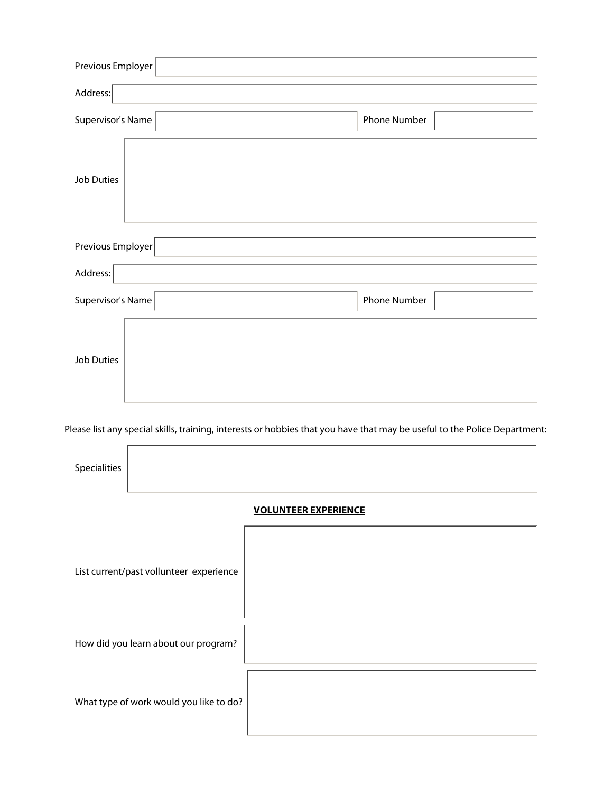| Previous Employer                 |                                                                                 |                                                                                                                           |              |  |
|-----------------------------------|---------------------------------------------------------------------------------|---------------------------------------------------------------------------------------------------------------------------|--------------|--|
| Address:                          |                                                                                 |                                                                                                                           |              |  |
| Supervisor's Name                 |                                                                                 |                                                                                                                           | Phone Number |  |
| <b>Job Duties</b>                 |                                                                                 |                                                                                                                           |              |  |
| Previous Employer                 |                                                                                 |                                                                                                                           |              |  |
| Address:                          |                                                                                 |                                                                                                                           |              |  |
| Supervisor's Name                 |                                                                                 |                                                                                                                           | Phone Number |  |
| <b>Job Duties</b><br>Specialities |                                                                                 | Please list any special skills, training, interests or hobbies that you have that may be useful to the Police Department: |              |  |
|                                   |                                                                                 | <b>VOLUNTEER EXPERIENCE</b>                                                                                               |              |  |
|                                   | List current/past vollunteer experience<br>How did you learn about our program? |                                                                                                                           |              |  |
|                                   | What type of work would you like to do?                                         |                                                                                                                           |              |  |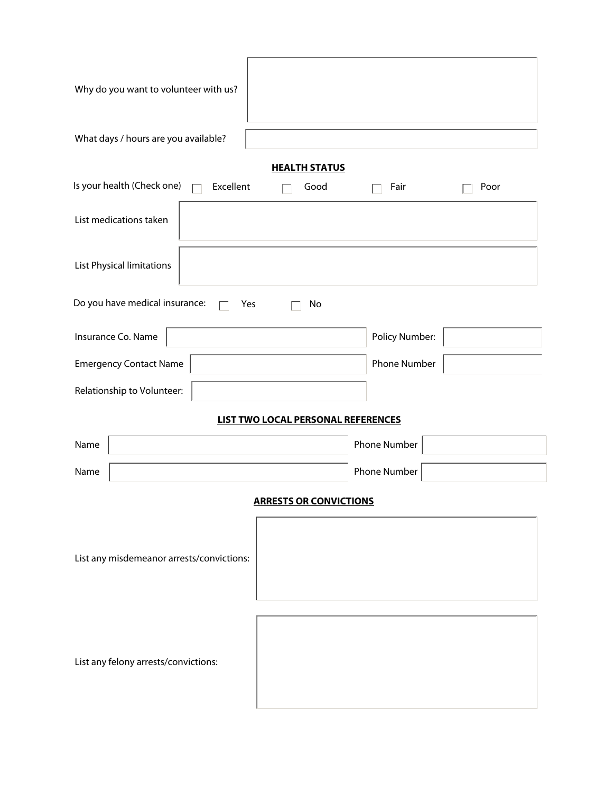| Why do you want to volunteer with us?                                        |                |
|------------------------------------------------------------------------------|----------------|
| What days / hours are you available?                                         |                |
| <b>HEALTH STATUS</b><br>Is your health (Check one)<br>Excellent<br>Good<br>П | Fair<br>Poor   |
| List medications taken                                                       |                |
| List Physical limitations                                                    |                |
| Do you have medical insurance:<br>Yes<br>No                                  |                |
| Insurance Co. Name                                                           | Policy Number: |
| <b>Emergency Contact Name</b>                                                | Phone Number   |
| Relationship to Volunteer:                                                   |                |
| <b>LIST TWO LOCAL PERSONAL REFERENCES</b>                                    |                |
| Name                                                                         | Phone Number   |
| Name                                                                         | Phone Number   |
| <b>ARRESTS OR CONVICTIONS</b>                                                |                |
| List any misdemeanor arrests/convictions:                                    |                |
| List any felony arrests/convictions:                                         |                |